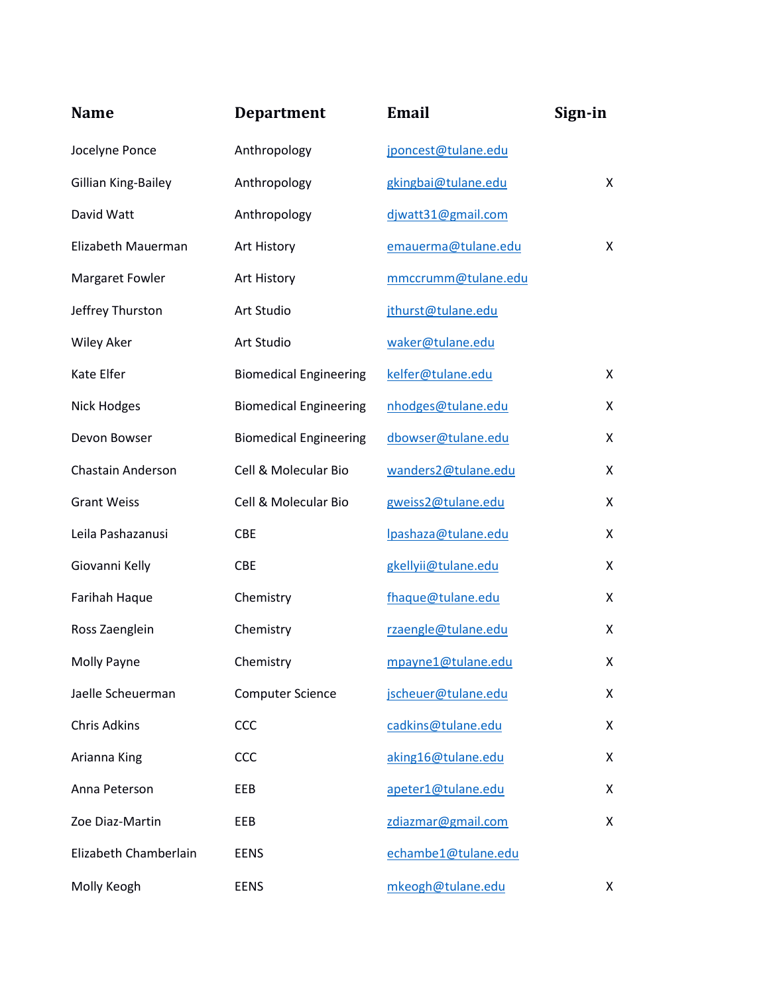| <b>Name</b>           | <b>Department</b>             | <b>Email</b>        | Sign-in |
|-----------------------|-------------------------------|---------------------|---------|
| Jocelyne Ponce        | Anthropology                  | jponcest@tulane.edu |         |
| Gillian King-Bailey   | Anthropology                  | gkingbai@tulane.edu | X       |
| David Watt            | Anthropology                  | djwatt31@gmail.com  |         |
| Elizabeth Mauerman    | Art History                   | emauerma@tulane.edu | X       |
| Margaret Fowler       | Art History                   | mmccrumm@tulane.edu |         |
| Jeffrey Thurston      | Art Studio                    | jthurst@tulane.edu  |         |
| <b>Wiley Aker</b>     | Art Studio                    | waker@tulane.edu    |         |
| Kate Elfer            | <b>Biomedical Engineering</b> | kelfer@tulane.edu   | X       |
| Nick Hodges           | <b>Biomedical Engineering</b> | nhodges@tulane.edu  | X       |
| Devon Bowser          | <b>Biomedical Engineering</b> | dbowser@tulane.edu  | X       |
| Chastain Anderson     | Cell & Molecular Bio          | wanders2@tulane.edu | X       |
| <b>Grant Weiss</b>    | Cell & Molecular Bio          | gweiss2@tulane.edu  | X       |
| Leila Pashazanusi     | <b>CBE</b>                    | Ipashaza@tulane.edu | X       |
| Giovanni Kelly        | <b>CBE</b>                    | gkellyii@tulane.edu | X       |
| Farihah Haque         | Chemistry                     | fhaque@tulane.edu   | X       |
| Ross Zaenglein        | Chemistry                     | rzaengle@tulane.edu | X       |
| Molly Payne           | Chemistry                     | mpayne1@tulane.edu  | X.      |
| Jaelle Scheuerman     | <b>Computer Science</b>       | jscheuer@tulane.edu | X       |
| <b>Chris Adkins</b>   | CCC                           | cadkins@tulane.edu  | X       |
| Arianna King          | CCC                           | aking16@tulane.edu  | X       |
| Anna Peterson         | EEB                           | apeter1@tulane.edu  | X       |
| Zoe Diaz-Martin       | EEB                           | zdiazmar@gmail.com  | X       |
| Elizabeth Chamberlain | <b>EENS</b>                   | echambe1@tulane.edu |         |
| Molly Keogh           | <b>EENS</b>                   | mkeogh@tulane.edu   | X       |